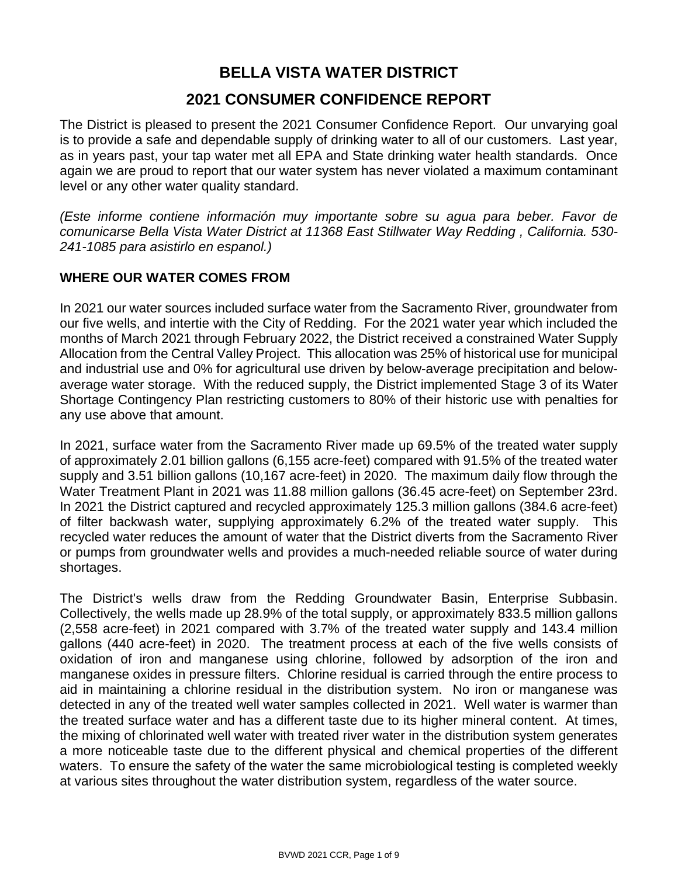## **BELLA VISTA WATER DISTRICT 2021 CONSUMER CONFIDENCE REPORT**

The District is pleased to present the 2021 Consumer Confidence Report. Our unvarying goal is to provide a safe and dependable supply of drinking water to all of our customers. Last year, as in years past, your tap water met all EPA and State drinking water health standards. Once again we are proud to report that our water system has never violated a maximum contaminant level or any other water quality standard.

*(Este informe contiene información muy importante sobre su agua para beber. Favor de comunicarse Bella Vista Water District at 11368 East Stillwater Way Redding , California. 530- 241-1085 para asistirlo en espanol.)*

### **WHERE OUR WATER COMES FROM**

In 2021 our water sources included surface water from the Sacramento River, groundwater from our five wells, and intertie with the City of Redding. For the 2021 water year which included the months of March 2021 through February 2022, the District received a constrained Water Supply Allocation from the Central Valley Project. This allocation was 25% of historical use for municipal and industrial use and 0% for agricultural use driven by below-average precipitation and belowaverage water storage. With the reduced supply, the District implemented Stage 3 of its Water Shortage Contingency Plan restricting customers to 80% of their historic use with penalties for any use above that amount.

In 2021, surface water from the Sacramento River made up 69.5% of the treated water supply of approximately 2.01 billion gallons (6,155 acre-feet) compared with 91.5% of the treated water supply and 3.51 billion gallons (10,167 acre-feet) in 2020. The maximum daily flow through the Water Treatment Plant in 2021 was 11.88 million gallons (36.45 acre-feet) on September 23rd. In 2021 the District captured and recycled approximately 125.3 million gallons (384.6 acre-feet) of filter backwash water, supplying approximately 6.2% of the treated water supply. This recycled water reduces the amount of water that the District diverts from the Sacramento River or pumps from groundwater wells and provides a much-needed reliable source of water during shortages.

The District's wells draw from the [Redding Groundwater Basin, Enterprise Subbasin.](http://www.water.ca.gov/pubs/groundwater/bulletin_118/basindescriptions/5-6.04.pdf) Collectively, the wells made up 28.9% of the total supply, or approximately 833.5 million gallons (2,558 acre-feet) in 2021 compared with 3.7% of the treated water supply and 143.4 million gallons (440 acre-feet) in 2020. The treatment process at each of the five wells consists of oxidation of iron and manganese using chlorine, followed by adsorption of the iron and manganese oxides in pressure filters. Chlorine residual is carried through the entire process to aid in maintaining a chlorine residual in the distribution system. No iron or manganese was detected in any of the treated well water samples collected in 2021. Well water is warmer than the treated surface water and has a different taste due to its higher mineral content. At times, the mixing of chlorinated well water with treated river water in the distribution system generates a more noticeable taste due to the different physical and chemical properties of the different waters. To ensure the safety of the water the same microbiological testing is completed weekly at various sites throughout the water distribution system, regardless of the water source.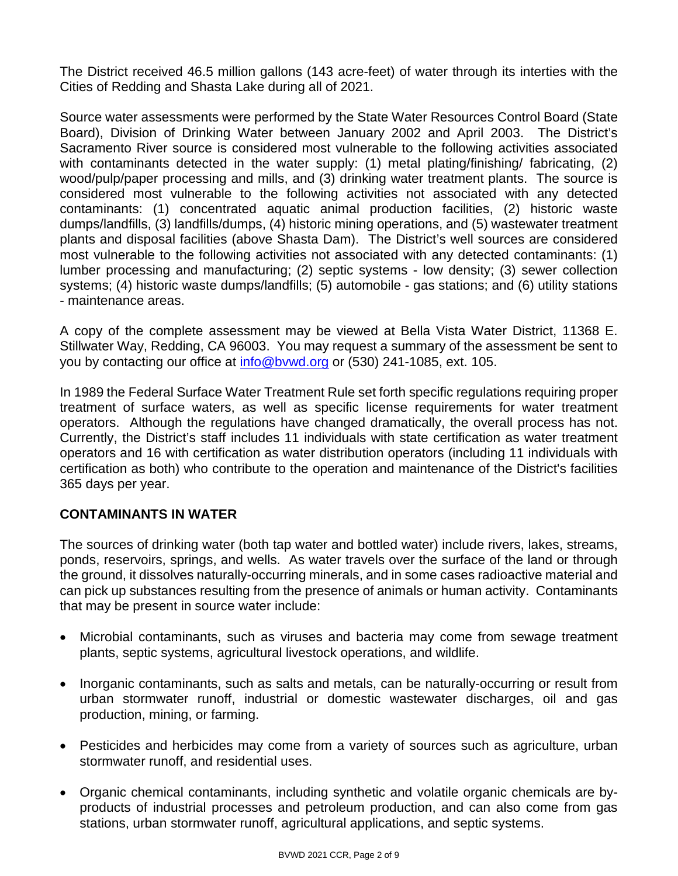The District received 46.5 million gallons (143 acre-feet) of water through its interties with the Cities of Redding and Shasta Lake during all of 2021.

Source water assessments were performed by the State Water Resources Control Board (State Board), Division of Drinking Water between January 2002 and April 2003. The District's Sacramento River source is considered most vulnerable to the following activities associated with contaminants detected in the water supply: (1) metal plating/finishing/ fabricating, (2) wood/pulp/paper processing and mills, and (3) drinking water treatment plants. The source is considered most vulnerable to the following activities not associated with any detected contaminants: (1) concentrated aquatic animal production facilities, (2) historic waste dumps/landfills, (3) landfills/dumps, (4) historic mining operations, and (5) wastewater treatment plants and disposal facilities (above Shasta Dam). The District's well sources are considered most vulnerable to the following activities not associated with any detected contaminants: (1) lumber processing and manufacturing; (2) septic systems - low density; (3) sewer collection systems; (4) historic waste dumps/landfills; (5) automobile - gas stations; and (6) utility stations - maintenance areas.

A copy of the complete assessment may be viewed at Bella Vista Water District, 11368 E. Stillwater Way, Redding, CA 96003. You may request a summary of the assessment be sent to you by contacting our office at [info@bvwd.org](mailto:info@bvwd.org) or (530) 241-1085, ext. 105.

In 1989 the Federal Surface Water Treatment Rule set forth specific regulations requiring proper treatment of surface waters, as well as specific license requirements for water treatment operators. Although the regulations have changed dramatically, the overall process has not. Currently, the District's staff includes 11 individuals with state certification as water treatment operators and 16 with certification as water distribution operators (including 11 individuals with certification as both) who contribute to the operation and maintenance of the District's facilities 365 days per year.

#### **CONTAMINANTS IN WATER**

The sources of drinking water (both tap water and bottled water) include rivers, lakes, streams, ponds, reservoirs, springs, and wells. As water travels over the surface of the land or through the ground, it dissolves naturally-occurring minerals, and in some cases radioactive material and can pick up substances resulting from the presence of animals or human activity. Contaminants that may be present in source water include:

- Microbial contaminants, such as viruses and bacteria may come from sewage treatment plants, septic systems, agricultural livestock operations, and wildlife.
- Inorganic contaminants, such as salts and metals, can be naturally-occurring or result from urban stormwater runoff, industrial or domestic wastewater discharges, oil and gas production, mining, or farming.
- Pesticides and herbicides may come from a variety of sources such as agriculture, urban stormwater runoff, and residential uses.
- Organic chemical contaminants, including synthetic and volatile organic chemicals are byproducts of industrial processes and petroleum production, and can also come from gas stations, urban stormwater runoff, agricultural applications, and septic systems.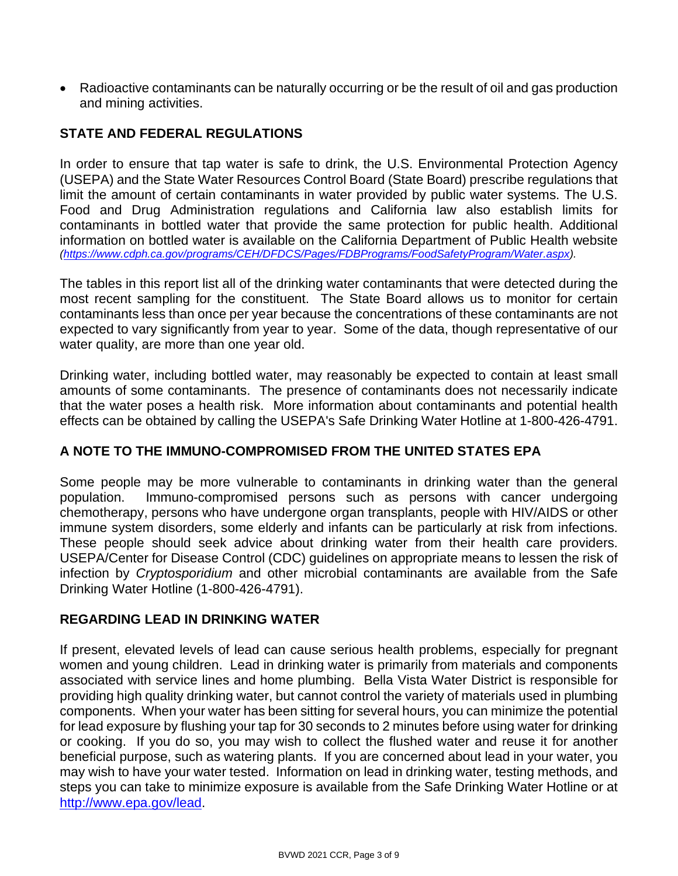• Radioactive contaminants can be naturally occurring or be the result of oil and gas production and mining activities.

### **STATE AND FEDERAL REGULATIONS**

In order to ensure that tap water is safe to drink, the U.S. Environmental Protection Agency (USEPA) and the State Water Resources Control Board (State Board) prescribe regulations that limit the amount of certain contaminants in water provided by public water systems. The U.S. Food and Drug Administration regulations and California law also establish limits for contaminants in bottled water that provide the same protection for public health. Additional information on bottled water is available on the California Department of Public Health website *[\(https://www.cdph.ca.gov/programs/CEH/DFDCS/Pages/FDBPrograms/FoodSafetyProgram/Water.aspx\)](https://www.cdph.ca.gov/programs/CEH/DFDCS/Pages/FDBPrograms/FoodSafetyProgram/Water.aspx).*

The tables in this report list all of the drinking water contaminants that were detected during the most recent sampling for the constituent. The State Board allows us to monitor for certain contaminants less than once per year because the concentrations of these contaminants are not expected to vary significantly from year to year. Some of the data, though representative of our water quality, are more than one year old.

Drinking water, including bottled water, may reasonably be expected to contain at least small amounts of some contaminants. The presence of contaminants does not necessarily indicate that the water poses a health risk. More information about contaminants and potential health effects can be obtained by calling the USEPA's Safe Drinking Water Hotline at 1-800-426-4791.

#### **A NOTE TO THE IMMUNO-COMPROMISED FROM THE UNITED STATES EPA**

Some people may be more vulnerable to contaminants in drinking water than the general population. Immuno-compromised persons such as persons with cancer undergoing chemotherapy, persons who have undergone organ transplants, people with HIV/AIDS or other immune system disorders, some elderly and infants can be particularly at risk from infections. These people should seek advice about drinking water from their health care providers. USEPA/Center for Disease Control (CDC) guidelines on appropriate means to lessen the risk of infection by *Cryptosporidium* and other microbial contaminants are available from the Safe Drinking Water Hotline (1-800-426-4791).

#### **REGARDING LEAD IN DRINKING WATER**

If present, elevated levels of lead can cause serious health problems, especially for pregnant women and young children. Lead in drinking water is primarily from materials and components associated with service lines and home plumbing. Bella Vista Water District is responsible for providing high quality drinking water, but cannot control the variety of materials used in plumbing components. When your water has been sitting for several hours, you can minimize the potential for lead exposure by flushing your tap for 30 seconds to 2 minutes before using water for drinking or cooking. If you do so, you may wish to collect the flushed water and reuse it for another beneficial purpose, such as watering plants. If you are concerned about lead in your water, you may wish to have your water tested. Information on lead in drinking water, testing methods, and steps you can take to minimize exposure is available from the Safe Drinking Water Hotline or at [http://www.epa.gov/lead.](http://www.epa.gov/lead)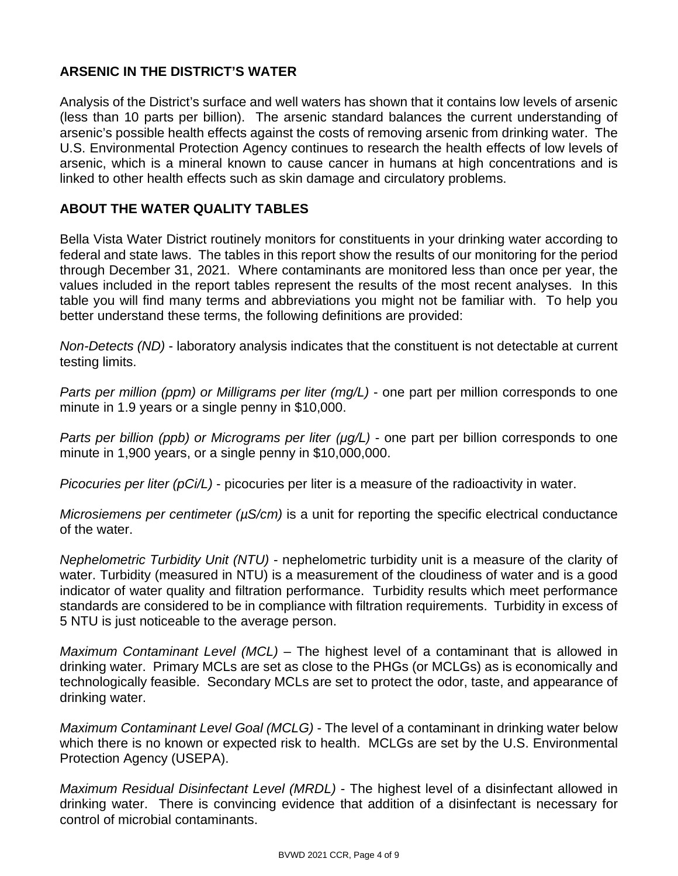### **ARSENIC IN THE DISTRICT'S WATER**

Analysis of the District's surface and well waters has shown that it contains low levels of arsenic (less than 10 parts per billion). The arsenic standard balances the current understanding of arsenic's possible health effects against the costs of removing arsenic from drinking water. The U.S. Environmental Protection Agency continues to research the health effects of low levels of arsenic, which is a mineral known to cause cancer in humans at high concentrations and is linked to other health effects such as skin damage and circulatory problems.

#### **ABOUT THE WATER QUALITY TABLES**

Bella Vista Water District routinely monitors for constituents in your drinking water according to federal and state laws. The tables in this report show the results of our monitoring for the period through December 31, 2021. Where contaminants are monitored less than once per year, the values included in the report tables represent the results of the most recent analyses. In this table you will find many terms and abbreviations you might not be familiar with. To help you better understand these terms, the following definitions are provided:

*Non-Detects (ND)* - laboratory analysis indicates that the constituent is not detectable at current testing limits.

*Parts per million (ppm) or Milligrams per liter (mg/L)* - one part per million corresponds to one minute in 1.9 years or a single penny in \$10,000.

*Parts per billion (ppb) or Micrograms per liter (μg/L)* - one part per billion corresponds to one minute in 1,900 years, or a single penny in \$10,000,000.

*Picocuries per liter (pCi/L)* - picocuries per liter is a measure of the radioactivity in water.

*Microsiemens per centimeter (µS/cm)* is a unit for reporting the specific electrical conductance of the water.

*Nephelometric Turbidity Unit (NTU)* - nephelometric turbidity unit is a measure of the clarity of water. Turbidity (measured in NTU) is a measurement of the cloudiness of water and is a good indicator of water quality and filtration performance. Turbidity results which meet performance standards are considered to be in compliance with filtration requirements. Turbidity in excess of 5 NTU is just noticeable to the average person.

*Maximum Contaminant Level (MCL)* – The highest level of a contaminant that is allowed in drinking water. Primary MCLs are set as close to the PHGs (or MCLGs) as is economically and technologically feasible. Secondary MCLs are set to protect the odor, taste, and appearance of drinking water.

*Maximum Contaminant Level Goal (MCLG)* - The level of a contaminant in drinking water below which there is no known or expected risk to health. MCLGs are set by the U.S. Environmental Protection Agency (USEPA).

*Maximum Residual Disinfectant Level (MRDL)* - The highest level of a disinfectant allowed in drinking water. There is convincing evidence that addition of a disinfectant is necessary for control of microbial contaminants.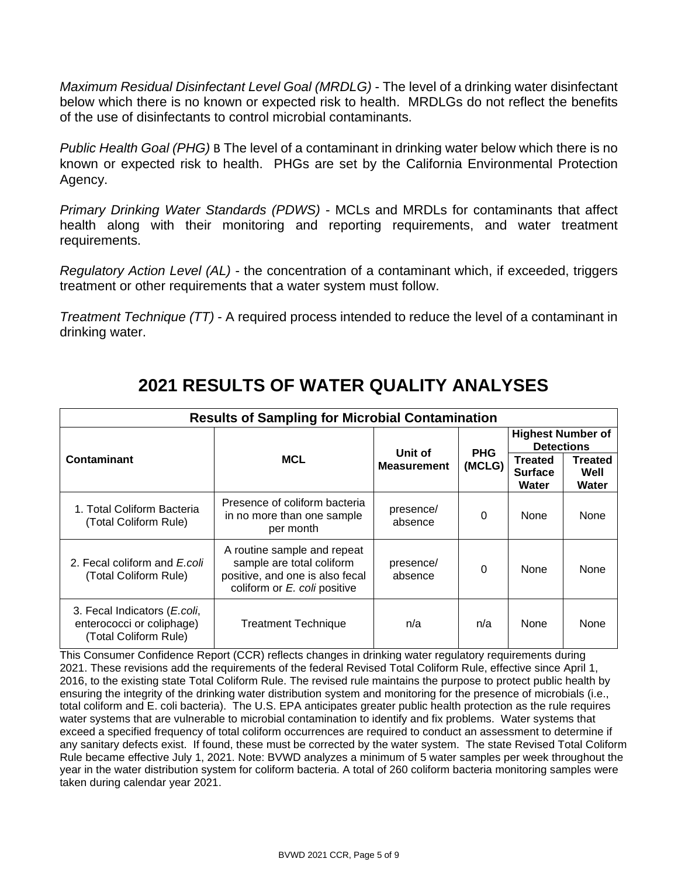*Maximum Residual Disinfectant Level Goal (MRDLG)* - The level of a drinking water disinfectant below which there is no known or expected risk to health. MRDLGs do not reflect the benefits of the use of disinfectants to control microbial contaminants.

*Public Health Goal (PHG)* B The level of a contaminant in drinking water below which there is no known or expected risk to health. PHGs are set by the California Environmental Protection Agency.

*Primary Drinking Water Standards (PDWS)* - MCLs and MRDLs for contaminants that affect health along with their monitoring and reporting requirements, and water treatment requirements.

*Regulatory Action Level (AL)* - the concentration of a contaminant which, if exceeded, triggers treatment or other requirements that a water system must follow.

*Treatment Technique (TT)* - A required process intended to reduce the level of a contaminant in drinking water.

|                                                                                             | <b>Results of Sampling for Microbial Contamination</b>                                                                      |                               |                      |                                               |                                 |  |  |
|---------------------------------------------------------------------------------------------|-----------------------------------------------------------------------------------------------------------------------------|-------------------------------|----------------------|-----------------------------------------------|---------------------------------|--|--|
|                                                                                             |                                                                                                                             |                               |                      | <b>Highest Number of</b><br><b>Detections</b> |                                 |  |  |
| <b>Contaminant</b>                                                                          | <b>MCL</b>                                                                                                                  | Unit of<br><b>Measurement</b> | <b>PHG</b><br>(MCLG) | <b>Treated</b><br><b>Surface</b><br>Water     | <b>Treated</b><br>Well<br>Water |  |  |
| 1. Total Coliform Bacteria<br>(Total Coliform Rule)                                         | Presence of coliform bacteria<br>in no more than one sample<br>per month                                                    | presence/<br>absence          | 0                    | <b>None</b>                                   | None                            |  |  |
| 2. Fecal coliform and E.coli<br>(Total Coliform Rule)                                       | A routine sample and repeat<br>sample are total coliform<br>positive, and one is also fecal<br>coliform or E. coli positive | presence/<br>absence          | $\Omega$             | <b>None</b>                                   | None                            |  |  |
| 3. Fecal Indicators ( <i>E.coli</i> ,<br>enterococci or coliphage)<br>(Total Coliform Rule) | <b>Treatment Technique</b>                                                                                                  | n/a                           | n/a                  | <b>None</b>                                   | None                            |  |  |

### **2021 RESULTS OF WATER QUALITY ANALYSES**

This Consumer Confidence Report (CCR) reflects changes in drinking water regulatory requirements during 2021. These revisions add the requirements of the federal Revised Total Coliform Rule, effective since April 1, 2016, to the existing state Total Coliform Rule. The revised rule maintains the purpose to protect public health by ensuring the integrity of the drinking water distribution system and monitoring for the presence of microbials (i.e., total coliform and E. coli bacteria). The U.S. EPA anticipates greater public health protection as the rule requires water systems that are vulnerable to microbial contamination to identify and fix problems. Water systems that exceed a specified frequency of total coliform occurrences are required to conduct an assessment to determine if any sanitary defects exist. If found, these must be corrected by the water system. The state Revised Total Coliform Rule became effective July 1, 2021. Note: BVWD analyzes a minimum of 5 water samples per week throughout the year in the water distribution system for coliform bacteria. A total of 260 coliform bacteria monitoring samples were taken during calendar year 2021.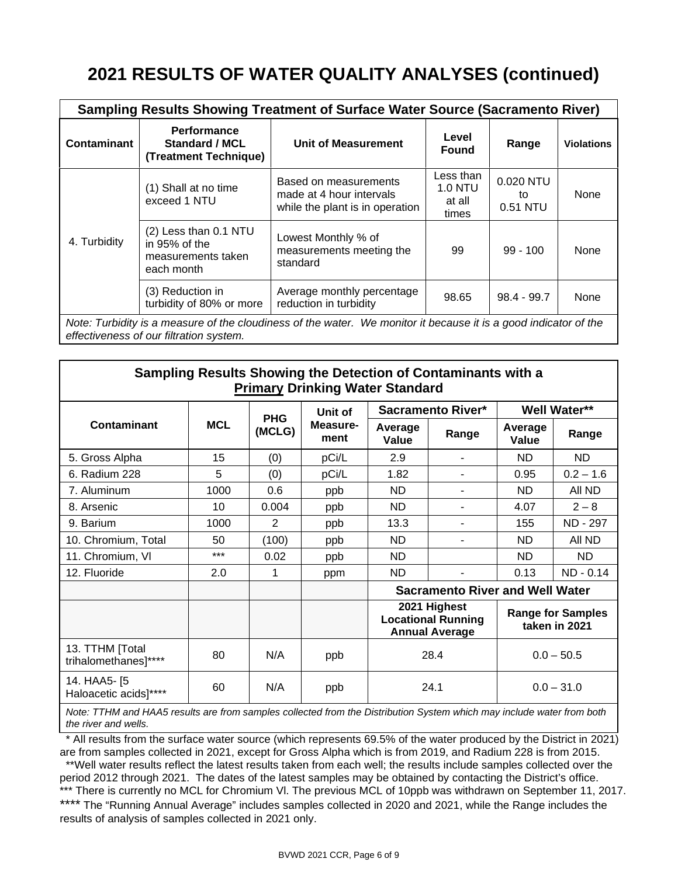# **2021 RESULTS OF WATER QUALITY ANALYSES (continued)**

|                                                                                                                                                             | <b>Sampling Results Showing Treatment of Surface Water Source (Sacramento River)</b> |                                                                                      |                                         |                             |                   |  |
|-------------------------------------------------------------------------------------------------------------------------------------------------------------|--------------------------------------------------------------------------------------|--------------------------------------------------------------------------------------|-----------------------------------------|-----------------------------|-------------------|--|
| <b>Contaminant</b>                                                                                                                                          | <b>Performance</b><br><b>Standard / MCL</b><br>(Treatment Technique)                 | <b>Unit of Measurement</b>                                                           | Level<br><b>Found</b>                   | Range                       | <b>Violations</b> |  |
|                                                                                                                                                             | (1) Shall at no time<br>exceed 1 NTU                                                 | Based on measurements<br>made at 4 hour intervals<br>while the plant is in operation | Less than<br>1.0 NTU<br>at all<br>times | 0.020 NTU<br>to<br>0.51 NTU | None              |  |
| 4. Turbidity                                                                                                                                                | (2) Less than 0.1 NTU<br>in 95% of the<br>measurements taken<br>each month           | Lowest Monthly % of<br>measurements meeting the<br>standard                          | 99                                      | $99 - 100$                  | None              |  |
|                                                                                                                                                             | (3) Reduction in<br>turbidity of 80% or more                                         | Average monthly percentage<br>reduction in turbidity                                 | 98.65                                   | $98.4 - 99.7$               | None              |  |
| Note: Turbidity is a measure of the cloudiness of the water. We monitor it because it is a good indicator of the<br>effectiveness of our filtration system. |                                                                                      |                                                                                      |                                         |                             |                   |  |

**Sampling Results Showing the Detection of Contaminants with a Primary Drinking Water Standard**

|                                         |            |                      | Unit of          |                                                                                                                 | Sacramento River* | <b>Well Water**</b> |             |  |
|-----------------------------------------|------------|----------------------|------------------|-----------------------------------------------------------------------------------------------------------------|-------------------|---------------------|-------------|--|
| <b>Contaminant</b>                      | <b>MCL</b> | <b>PHG</b><br>(MCLG) | Measure-<br>ment | Average<br>Value                                                                                                | Range             | Average<br>Value    | Range       |  |
| 5. Gross Alpha                          | 15         | (0)                  | pCi/L            | 2.9                                                                                                             | Ξ.                | ND.                 | ND          |  |
| 6. Radium 228                           | 5          | (0)                  | pCi/L            | 1.82                                                                                                            |                   | 0.95                | $0.2 - 1.6$ |  |
| 7. Aluminum                             | 1000       | 0.6                  | ppb              | ND                                                                                                              |                   | ND.                 | All ND      |  |
| 8. Arsenic                              | 10         | 0.004                | ppb              | ND                                                                                                              | Ξ.                | 4.07                | $2 - 8$     |  |
| 9. Barium                               | 1000       | $\overline{2}$       | ppb              | 13.3                                                                                                            |                   | 155                 | ND - 297    |  |
| 10. Chromium, Total                     | 50         | (100)                | ppb              | ND                                                                                                              |                   | ND.                 | All ND      |  |
| 11. Chromium, VI                        | $***$      | 0.02                 | ppb              | ND                                                                                                              |                   | ND.                 | ND.         |  |
| 12. Fluoride                            | 2.0        | 1                    | ppm              | ND                                                                                                              |                   | 0.13                | ND - 0.14   |  |
|                                         |            |                      |                  | <b>Sacramento River and Well Water</b>                                                                          |                   |                     |             |  |
|                                         |            |                      |                  | 2021 Highest<br><b>Range for Samples</b><br><b>Locational Running</b><br>taken in 2021<br><b>Annual Average</b> |                   |                     |             |  |
| 13. TTHM [Total<br>trihalomethanes]**** | 80         | N/A                  | ppb              | 28.4<br>$0.0 - 50.5$                                                                                            |                   |                     |             |  |
| 14. HAA5- [5<br>Haloacetic acids]****   | 60         | N/A                  | ppb              | $0.0 - 31.0$<br>24.1                                                                                            |                   |                     |             |  |
|                                         |            |                      |                  |                                                                                                                 |                   |                     |             |  |

*Note: TTHM and HAA5 results are from samples collected from the Distribution System which may include water from both the river and wells.*

 \* All results from the surface water source (which represents 69.5% of the water produced by the District in 2021) are from samples collected in 2021, except for Gross Alpha which is from 2019, and Radium 228 is from 2015. \*\*Well water results reflect the latest results taken from each well; the results include samples collected over the period 2012 through 2021. The dates of the latest samples may be obtained by contacting the District's office. \*\*\* There is currently no MCL for Chromium VI. The previous MCL of 10ppb was withdrawn on September 11, 2017. \*\*\*\* The "Running Annual Average" includes samples collected in 2020 and 2021, while the Range includes the results of analysis of samples collected in 2021 only.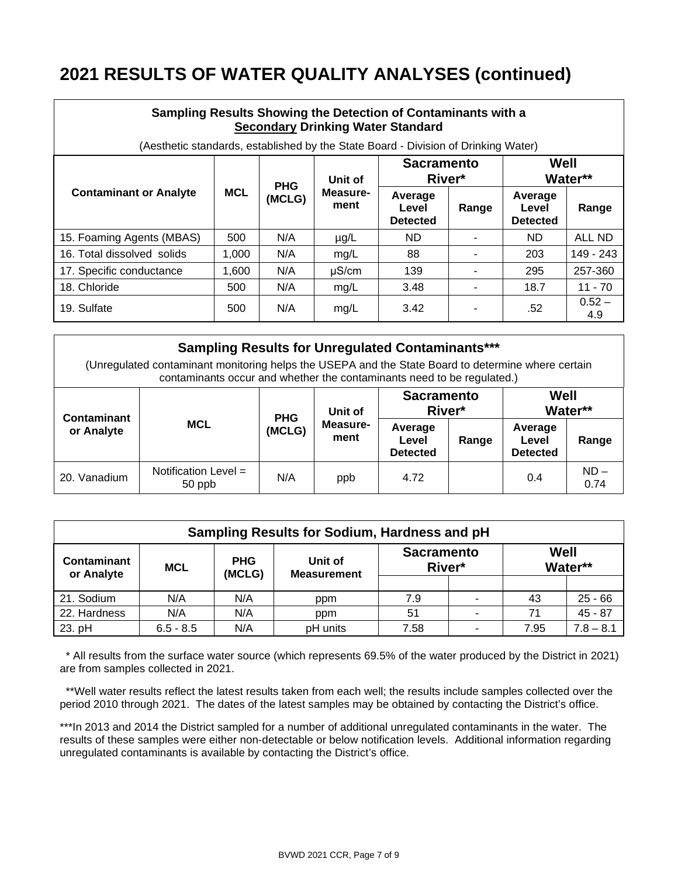# **2021 RESULTS OF WATER QUALITY ANALYSES (continued)**

| Sampling Results Showing the Detection of Contaminants with a |  |
|---------------------------------------------------------------|--|
| <b>Secondary Drinking Water Standard</b>                      |  |

(Aesthetic standards, established by the State Board - Division of Drinking Water)

|                               |            | <b>PHG</b> | Unit of          | <b>Sacramento</b><br>River*         |       | Well<br>Water**                     |                 |
|-------------------------------|------------|------------|------------------|-------------------------------------|-------|-------------------------------------|-----------------|
| <b>Contaminant or Analyte</b> | <b>MCL</b> | (MCLG)     | Measure-<br>ment | Average<br>Level<br><b>Detected</b> | Range | Average<br>Level<br><b>Detected</b> | Range           |
| 15. Foaming Agents (MBAS)     | 500        | N/A        | $\mu$ g/L        | ND                                  | -     | ND                                  | ALL ND          |
| 16. Total dissolved solids    | 1,000      | N/A        | mg/L             | 88                                  |       | 203                                 | 149 - 243       |
| 17. Specific conductance      | 1,600      | N/A        | $\mu$ S/cm       | 139                                 |       | 295                                 | 257-360         |
| 18. Chloride                  | 500        | N/A        | mg/L             | 3.48                                | ۰     | 18.7                                | $11 - 70$       |
| 19. Sulfate                   | 500        | N/A        | mg/L             | 3.42                                |       | .52                                 | $0.52 -$<br>4.9 |

**Sampling Results for Unregulated Contaminants\*\*\***

(Unregulated contaminant monitoring helps the USEPA and the State Board to determine where certain contaminants occur and whether the contaminants need to be regulated.)

|                                         |                                  | Unit of<br><b>PHG</b> |                  | <b>Sacramento</b><br>River*         |       | Well<br>Water**                     |                |
|-----------------------------------------|----------------------------------|-----------------------|------------------|-------------------------------------|-------|-------------------------------------|----------------|
| Contaminant<br><b>MCL</b><br>or Analyte |                                  | (MCLG)                | Measure-<br>ment | Average<br>Level<br><b>Detected</b> | Range | Average<br>Level<br><b>Detected</b> | Range          |
| 20. Vanadium                            | Notification Level $=$<br>50 ppb | N/A                   | ppb              | 4.72                                |       | 0.4                                 | $ND -$<br>0.74 |

| Sampling Results for Sodium, Hardness and pH |             |                      |                               |                             |                |      |             |
|----------------------------------------------|-------------|----------------------|-------------------------------|-----------------------------|----------------|------|-------------|
| Contaminant<br>or Analyte                    | <b>MCL</b>  | <b>PHG</b><br>(MCLG) | Unit of<br><b>Measurement</b> | <b>Sacramento</b><br>River* |                | Well | Water**     |
|                                              |             |                      |                               |                             |                |      |             |
| 21. Sodium                                   | N/A         | N/A                  | ppm                           | 7.9                         | $\blacksquare$ | 43   | $25 - 66$   |
| 22. Hardness                                 | N/A         | N/A                  | ppm                           | 51                          | $\blacksquare$ | 71   | $45 - 87$   |
| 23. pH                                       | $6.5 - 8.5$ | N/A                  | pH units                      | 7.58                        | $\blacksquare$ | 7.95 | $7.8 - 8.1$ |

 \* All results from the surface water source (which represents 69.5% of the water produced by the District in 2021) are from samples collected in 2021.

 \*\*Well water results reflect the latest results taken from each well; the results include samples collected over the period 2010 through 2021. The dates of the latest samples may be obtained by contacting the District's office.

\*\*\*In 2013 and 2014 the District sampled for a number of additional unregulated contaminants in the water. The results of these samples were either non-detectable or below notification levels. Additional information regarding unregulated contaminants is available by contacting the District's office.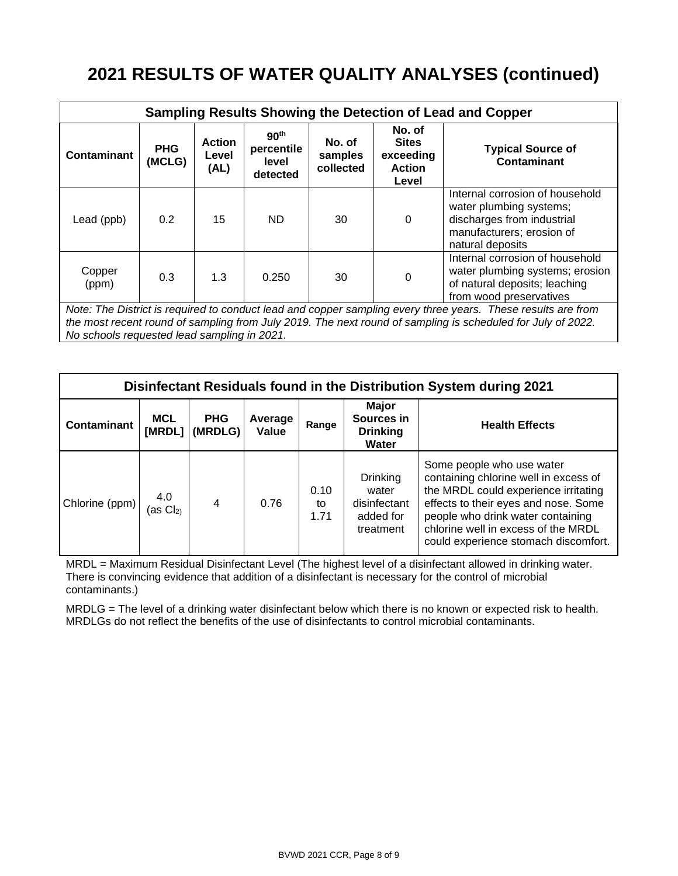# **2021 RESULTS OF WATER QUALITY ANALYSES (continued)**

| Sampling Results Showing the Detection of Lead and Copper                                                                                                                                                                                                                  |                      |                                |                                                     |                                |                                                               |                                                                                                                                           |  |
|----------------------------------------------------------------------------------------------------------------------------------------------------------------------------------------------------------------------------------------------------------------------------|----------------------|--------------------------------|-----------------------------------------------------|--------------------------------|---------------------------------------------------------------|-------------------------------------------------------------------------------------------------------------------------------------------|--|
| <b>Contaminant</b>                                                                                                                                                                                                                                                         | <b>PHG</b><br>(MCLG) | <b>Action</b><br>Level<br>(AL) | 90 <sup>th</sup><br>percentile<br>level<br>detected | No. of<br>samples<br>collected | No. of<br><b>Sites</b><br>exceeding<br><b>Action</b><br>Level | <b>Typical Source of</b><br><b>Contaminant</b>                                                                                            |  |
| Lead (ppb)                                                                                                                                                                                                                                                                 | 0.2                  | 15                             | ND.                                                 | 30                             | $\Omega$                                                      | Internal corrosion of household<br>water plumbing systems;<br>discharges from industrial<br>manufacturers; erosion of<br>natural deposits |  |
| Copper<br>(ppm)                                                                                                                                                                                                                                                            | 0.3                  | 1.3                            | 0.250                                               | 30                             | 0                                                             | Internal corrosion of household<br>water plumbing systems; erosion<br>of natural deposits; leaching<br>from wood preservatives            |  |
| Note: The District is required to conduct lead and copper sampling every three years. These results are from<br>the most recent round of sampling from July 2019. The next round of sampling is scheduled for July of 2022.<br>No schools requested lead sampling in 2021. |                      |                                |                                                     |                                |                                                               |                                                                                                                                           |  |

**Disinfectant Residuals found in the Distribution System during 2021 Contaminant MCL [MRDL] (MRDLG) PHG Average Value Range Major Sources in Drinking Water Health Effects** Chlorine (ppm)  $\begin{bmatrix} 4.0 \\ 4.0 \end{bmatrix}$  $(as  $Cl<sub>2</sub>$ )$ 4 0.76 0.10 to 1.71 **Drinking** water disinfectant added for treatment Some people who use water containing chlorine well in excess of the MRDL could experience irritating effects to their eyes and nose. Some people who drink water containing chlorine well in excess of the MRDL could experience stomach discomfort.

MRDL = Maximum Residual Disinfectant Level (The highest level of a disinfectant allowed in drinking water. There is convincing evidence that addition of a disinfectant is necessary for the control of microbial contaminants.)

MRDLG = The level of a drinking water disinfectant below which there is no known or expected risk to health. MRDLGs do not reflect the benefits of the use of disinfectants to control microbial contaminants.